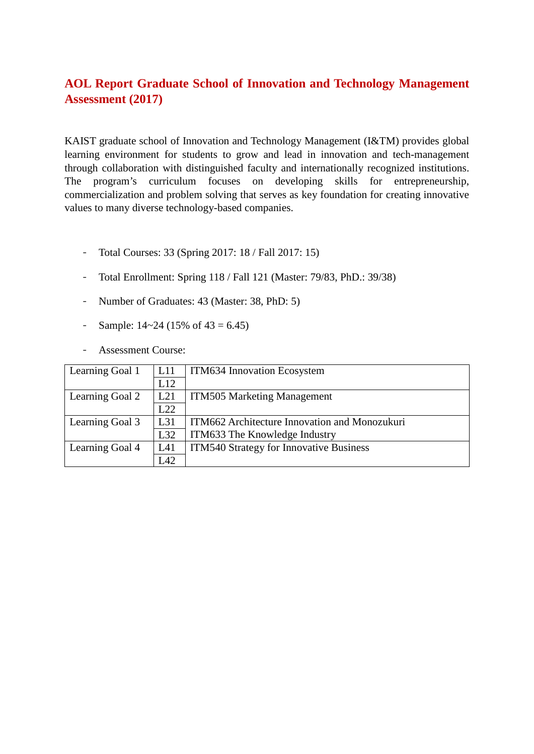## **AOL Report Graduate School of Innovation and Technology Management Assessment (2017)**

KAIST graduate school of Innovation and Technology Management (I&TM) provides global learning environment for students to grow and lead in innovation and tech-management through collaboration with distinguished faculty and internationally recognized institutions. The program's curriculum focuses on developing skills for entrepreneurship, commercialization and problem solving that serves as key foundation for creating innovative values to many diverse technology-based companies.

- Total Courses: 33 (Spring 2017: 18 / Fall 2017: 15)
- Total Enrollment: Spring 118 / Fall 121 (Master: 79/83, PhD.: 39/38)
- Number of Graduates: 43 (Master: 38, PhD: 5)
- Sample:  $14 \times 24$  (15% of  $43 = 6.45$ )
- Assessment Course:

| Learning Goal 1 | L11 | ITM634 Innovation Ecosystem                    |
|-----------------|-----|------------------------------------------------|
|                 | L12 |                                                |
| Learning Goal 2 | L21 | <b>ITM505 Marketing Management</b>             |
|                 | L22 |                                                |
| Learning Goal 3 | L31 | ITM662 Architecture Innovation and Monozukuri  |
|                 | L32 | ITM633 The Knowledge Industry                  |
| Learning Goal 4 | L41 | <b>ITM540 Strategy for Innovative Business</b> |
|                 | L42 |                                                |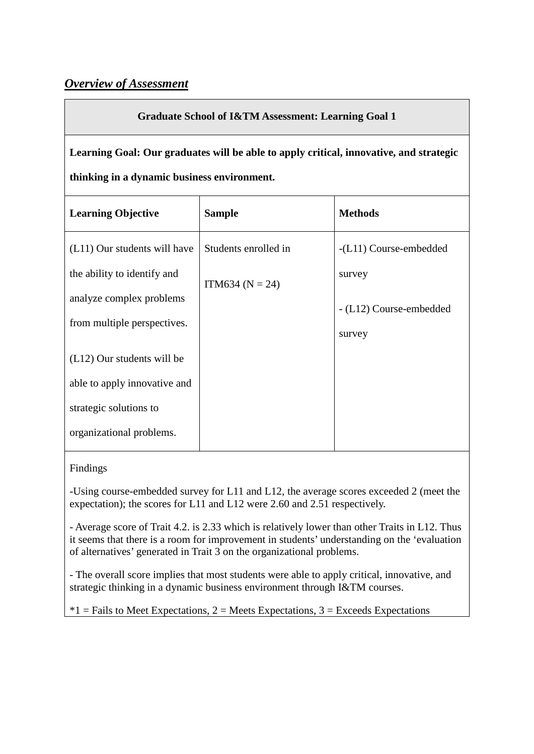## *Overview of Assessment*

## **Graduate School of I&TM Assessment: Learning Goal 1**

**Learning Goal: Our graduates will be able to apply critical, innovative, and strategic thinking in a dynamic business environment.**

| <b>Learning Objective</b>    | <b>Sample</b>        | <b>Methods</b>          |
|------------------------------|----------------------|-------------------------|
| (L11) Our students will have | Students enrolled in | $-L11)$ Course-embedded |
| the ability to identify and  | $ITM634 (N = 24)$    | survey                  |
| analyze complex problems     |                      | - (L12) Course-embedded |
| from multiple perspectives.  |                      | survey                  |
| $(L12)$ Our students will be |                      |                         |
| able to apply innovative and |                      |                         |
| strategic solutions to       |                      |                         |
| organizational problems.     |                      |                         |

#### Findings

-Using course-embedded survey for L11 and L12, the average scores exceeded 2 (meet the expectation); the scores for L11 and L12 were 2.60 and 2.51 respectively.

- Average score of Trait 4.2. is 2.33 which is relatively lower than other Traits in L12. Thus it seems that there is a room for improvement in students' understanding on the 'evaluation of alternatives' generated in Trait 3 on the organizational problems.

- The overall score implies that most students were able to apply critical, innovative, and strategic thinking in a dynamic business environment through I&TM courses.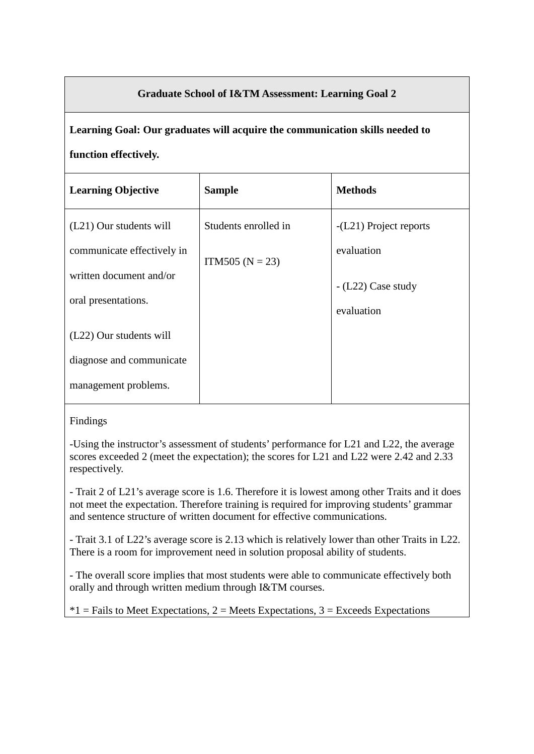## **Graduate School of I&TM Assessment: Learning Goal 2**

**Learning Goal: Our graduates will acquire the communication skills needed to function effectively.**

| <b>Learning Objective</b>  | <b>Sample</b>        | <b>Methods</b>           |
|----------------------------|----------------------|--------------------------|
| (L21) Our students will    | Students enrolled in | $-L21$ ) Project reports |
| communicate effectively in | ITM505 ( $N = 23$ )  | evaluation               |
| written document and/or    |                      | $-L22)$ Case study       |
| oral presentations.        |                      | evaluation               |
| (L22) Our students will    |                      |                          |
| diagnose and communicate   |                      |                          |
| management problems.       |                      |                          |

Findings

-Using the instructor's assessment of students' performance for L21 and L22, the average scores exceeded 2 (meet the expectation); the scores for L21 and L22 were 2.42 and 2.33 respectively.

- Trait 2 of L21's average score is 1.6. Therefore it is lowest among other Traits and it does not meet the expectation. Therefore training is required for improving students' grammar and sentence structure of written document for effective communications.

- Trait 3.1 of L22's average score is 2.13 which is relatively lower than other Traits in L22. There is a room for improvement need in solution proposal ability of students.

- The overall score implies that most students were able to communicate effectively both orally and through written medium through I&TM courses.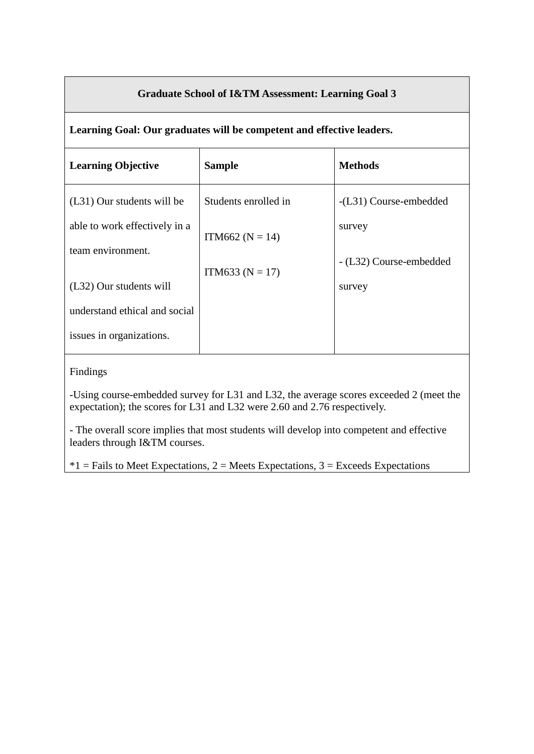## **Graduate School of I&TM Assessment: Learning Goal 3**

#### **Learning Goal: Our graduates will be competent and effective leaders.**

| <b>Sample</b>        | <b>Methods</b>          |
|----------------------|-------------------------|
| Students enrolled in | $-L31)$ Course-embedded |
| ITM662 ( $N = 14$ )  | survey                  |
|                      | - (L32) Course-embedded |
|                      | survey                  |
|                      |                         |
|                      |                         |
|                      | ITM633 ( $N = 17$ )     |

#### Findings

-Using course-embedded survey for L31 and L32, the average scores exceeded 2 (meet the expectation); the scores for L31 and L32 were 2.60 and 2.76 respectively.

- The overall score implies that most students will develop into competent and effective leaders through I&TM courses.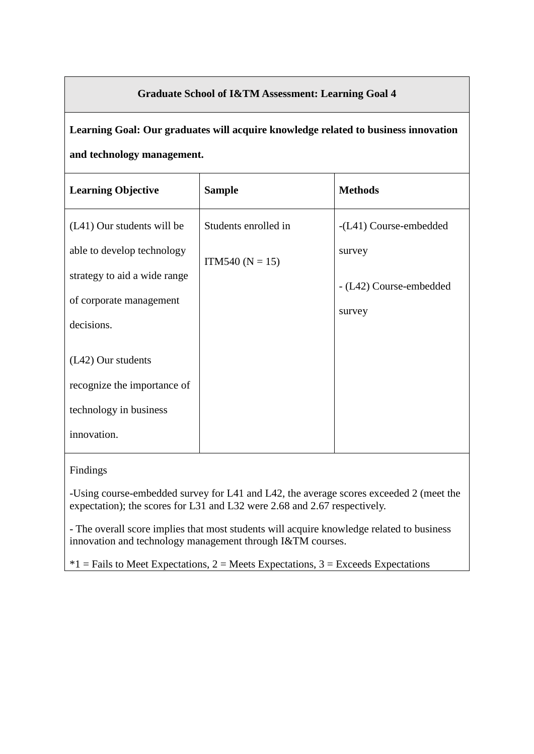## **Graduate School of I&TM Assessment: Learning Goal 4**

# **Learning Goal: Our graduates will acquire knowledge related to business innovation and technology management.**

| <b>Learning Objective</b>             | <b>Sample</b>        | <b>Methods</b>          |
|---------------------------------------|----------------------|-------------------------|
| (L41) Our students will be            | Students enrolled in | -(L41) Course-embedded  |
| able to develop technology            | $ITM540 (N = 15)$    | survey                  |
| strategy to aid a wide range          |                      | - (L42) Course-embedded |
| of corporate management<br>decisions. |                      | survey                  |
|                                       |                      |                         |
| $(L42)$ Our students                  |                      |                         |
| recognize the importance of           |                      |                         |
| technology in business                |                      |                         |
| innovation.                           |                      |                         |

#### Findings

-Using course-embedded survey for L41 and L42, the average scores exceeded 2 (meet the expectation); the scores for L31 and L32 were 2.68 and 2.67 respectively.

- The overall score implies that most students will acquire knowledge related to business innovation and technology management through I&TM courses.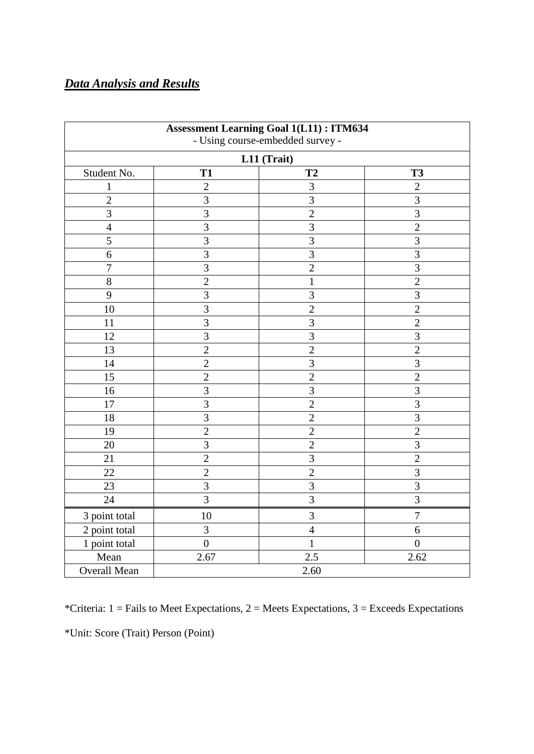## *Data Analysis and Results*

| <b>Assessment Learning Goal 1(L11): ITM634</b><br>- Using course-embedded survey - |                  |                |                  |  |
|------------------------------------------------------------------------------------|------------------|----------------|------------------|--|
|                                                                                    |                  | L11 (Trait)    |                  |  |
| Student No.                                                                        | <b>T1</b>        | <b>T2</b>      | <b>T3</b>        |  |
| $\mathbf 1$                                                                        | $\overline{c}$   | $\overline{3}$ | $\mathbf{2}$     |  |
| $\overline{2}$                                                                     | 3                | $\overline{3}$ | 3                |  |
| 3                                                                                  | 3                | $\overline{2}$ | 3                |  |
| $\overline{4}$                                                                     | $\overline{3}$   | $\overline{3}$ | $\overline{2}$   |  |
| 5                                                                                  | 3                | 3              | 3                |  |
| 6                                                                                  | $\overline{3}$   | $\overline{3}$ | $\overline{3}$   |  |
| $\overline{7}$                                                                     | 3                | $\overline{2}$ | 3                |  |
| 8                                                                                  | $\overline{2}$   | $\mathbf{1}$   | $\overline{2}$   |  |
| 9                                                                                  | 3                | 3              | 3                |  |
| 10                                                                                 | $\overline{3}$   | $\overline{2}$ | $\overline{2}$   |  |
| 11                                                                                 | $\overline{3}$   | $\overline{3}$ | $\overline{2}$   |  |
| 12                                                                                 | 3                | 3              | 3                |  |
| 13                                                                                 | $\overline{2}$   | $\overline{2}$ | $\overline{2}$   |  |
| 14                                                                                 | $\overline{2}$   | 3              | 3                |  |
| 15                                                                                 | $\overline{2}$   | $\overline{2}$ | $\overline{2}$   |  |
| 16                                                                                 | 3                | 3              | $\overline{3}$   |  |
| 17                                                                                 | $\overline{3}$   | $\overline{2}$ | $\overline{3}$   |  |
| 18                                                                                 | 3                | $\overline{2}$ | 3                |  |
| 19                                                                                 | $\overline{2}$   | $\overline{2}$ | $\overline{2}$   |  |
| 20                                                                                 | $\overline{3}$   | $\overline{2}$ | $\overline{3}$   |  |
| 21                                                                                 | $\overline{2}$   | 3              | $\overline{2}$   |  |
| 22                                                                                 | $\overline{2}$   | $\overline{2}$ | 3                |  |
| 23                                                                                 | 3                | 3              | $\overline{3}$   |  |
| 24                                                                                 | 3                | 3              | 3                |  |
| 3 point total                                                                      | 10               | 3              | $\overline{7}$   |  |
| 2 point total                                                                      | 3                | $\overline{4}$ | 6                |  |
| 1 point total                                                                      | $\boldsymbol{0}$ | $\mathbf{1}$   | $\boldsymbol{0}$ |  |
| Mean                                                                               | 2.67             | 2.5            | 2.62             |  |
| <b>Overall Mean</b>                                                                |                  | 2.60           |                  |  |

\*Criteria:  $1 =$  Fails to Meet Expectations,  $2 =$  Meets Expectations,  $3 =$  Exceeds Expectations \*Unit: Score (Trait) Person (Point)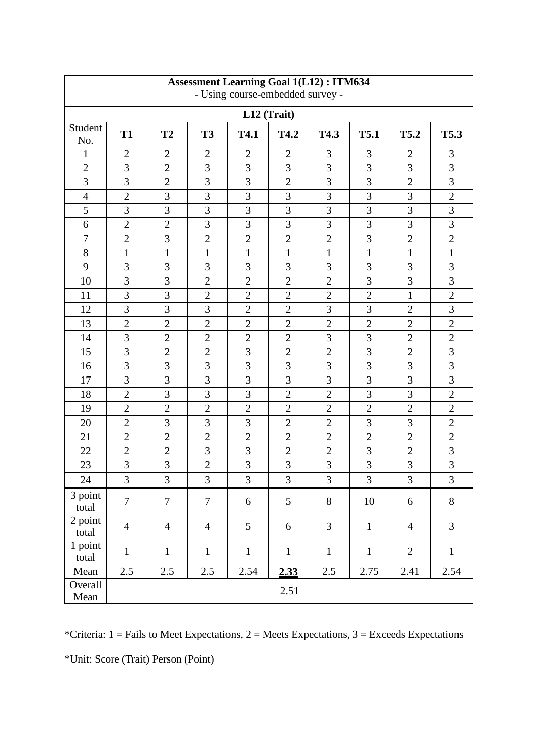| <b>Assessment Learning Goal 1(L12): ITM634</b><br>- Using course-embedded survey - |                |                |                |                |                |                |                |                |                |
|------------------------------------------------------------------------------------|----------------|----------------|----------------|----------------|----------------|----------------|----------------|----------------|----------------|
| L12 (Trait)                                                                        |                |                |                |                |                |                |                |                |                |
| Student<br>No.                                                                     | <b>T1</b>      | T <sub>2</sub> | <b>T3</b>      | <b>T4.1</b>    | T4.2           | T4.3           | <b>T5.1</b>    | T5.2           | T5.3           |
| 1                                                                                  | $\overline{2}$ | $\overline{2}$ | $\overline{2}$ | $\overline{2}$ | $\overline{2}$ | 3              | 3              | $\overline{2}$ | 3              |
| $\overline{2}$                                                                     | 3              | $\overline{2}$ | 3              | 3              | 3              | 3              | 3              | 3              | 3              |
| 3                                                                                  | 3              | $\overline{2}$ | 3              | 3              | $\overline{2}$ | $\mathfrak{Z}$ | 3              | $\overline{2}$ | 3              |
| $\overline{4}$                                                                     | $\overline{2}$ | 3              | 3              | 3              | 3              | $\overline{3}$ | 3              | $\overline{3}$ | $\sqrt{2}$     |
| 5                                                                                  | 3              | 3              | $\overline{3}$ | 3              | $\overline{3}$ | $\overline{3}$ | 3              | 3              | 3              |
| 6                                                                                  | $\overline{2}$ | $\overline{2}$ | 3              | 3              | 3              | 3              | 3              | 3              | 3              |
| $\boldsymbol{7}$                                                                   | $\overline{2}$ | 3              | $\overline{2}$ | $\overline{2}$ | $\overline{2}$ | $\overline{2}$ | 3              | $\overline{2}$ | $\overline{2}$ |
| 8                                                                                  | $\mathbf{1}$   | $\mathbf{1}$   | $\mathbf{1}$   | $\mathbf{1}$   | $\mathbf{1}$   | $\mathbf{1}$   | $\mathbf{1}$   | $\mathbf{1}$   | $\mathbf{1}$   |
| 9                                                                                  | 3              | 3              | 3              | 3              | 3              | 3              | 3              | 3              | 3              |
| 10                                                                                 | 3              | 3              | $\overline{2}$ | $\overline{2}$ | $\overline{2}$ | $\overline{2}$ | 3              | 3              | 3              |
| 11                                                                                 | 3              | 3              | $\overline{2}$ | $\overline{2}$ | $\overline{2}$ | $\overline{2}$ | $\overline{2}$ | $\mathbf{1}$   | $\overline{2}$ |
| 12                                                                                 | 3              | 3              | 3              | $\overline{2}$ | $\overline{2}$ | 3              | 3              | $\overline{2}$ | 3              |
| 13                                                                                 | $\overline{2}$ | $\overline{2}$ | $\overline{2}$ | $\overline{2}$ | $\overline{2}$ | $\overline{2}$ | $\overline{2}$ | $\overline{2}$ | $\mathbf{2}$   |
| 14                                                                                 | 3              | $\overline{2}$ | $\mathbf{2}$   | $\overline{2}$ | $\mathfrak{2}$ | 3              | 3              | $\overline{2}$ | $\overline{2}$ |
| 15                                                                                 | 3              | $\overline{2}$ | $\mathbf{2}$   | 3              | $\overline{2}$ | $\overline{2}$ | 3              | $\overline{2}$ | 3              |
| 16                                                                                 | 3              | 3              | 3              | 3              | 3              | 3              | 3              | 3              | 3              |
| 17                                                                                 | $\overline{3}$ | 3              | 3              | 3              | 3              | $\overline{3}$ | 3              | 3              | $\overline{3}$ |
| 18                                                                                 | $\overline{2}$ | $\overline{3}$ | 3              | 3              | $\overline{2}$ | $\overline{2}$ | 3              | 3              | $\overline{2}$ |
| 19                                                                                 | $\overline{2}$ | $\overline{2}$ | $\overline{2}$ | $\overline{2}$ | $\overline{2}$ | $\overline{2}$ | $\overline{2}$ | $\overline{2}$ | $\overline{2}$ |
| 20                                                                                 | $\overline{2}$ | 3              | 3              | 3              | $\overline{2}$ | $\overline{2}$ | 3              | 3              | $\overline{2}$ |
| 21                                                                                 | $\overline{2}$ | $\overline{2}$ | $\overline{2}$ | $\overline{2}$ | $\overline{2}$ | $\overline{2}$ | $\overline{2}$ | $\overline{2}$ | $\overline{2}$ |
| 22                                                                                 | $\overline{2}$ | $\overline{2}$ | 3              | 3              | $\overline{2}$ | $\overline{2}$ | 3              | $\overline{2}$ | 3              |
| 23                                                                                 | 3              | $\overline{3}$ | $\overline{2}$ | 3              | 3              | $\overline{3}$ | $\overline{3}$ | 3              | 3              |
| 24                                                                                 | 3              | 3              | 3              | $\overline{3}$ | $\overline{3}$ | $\overline{3}$ | 3              | $\overline{3}$ | $\mathfrak{Z}$ |
| 3 point<br>total                                                                   | $\overline{7}$ | $\overline{7}$ | $\tau$         | 6              | 5              | $8\,$          | $10\,$         | 6              | 8              |
| 2 point<br>total                                                                   | $\overline{4}$ | $\overline{4}$ | $\overline{4}$ | 5              | 6              | 3              | $\mathbf{1}$   | $\overline{4}$ | $\overline{3}$ |
| 1 point<br>total                                                                   | $\mathbf{1}$   | $\mathbf{1}$   | $\mathbf{1}$   | $\mathbf{1}$   | $\mathbf{1}$   | $\mathbf{1}$   | $\mathbf{1}$   | $\overline{2}$ | $\mathbf{1}$   |
| Mean                                                                               | $2.5\,$        | $2.5\,$        | 2.5            | 2.54           | 2.33           | $2.5\,$        | 2.75           | 2.41           | 2.54           |
| Overall<br>Mean                                                                    |                |                |                |                | 2.51           |                |                |                |                |

\*Criteria:  $1 =$  Fails to Meet Expectations,  $2 =$  Meets Expectations,  $3 =$  Exceeds Expectations \*Unit: Score (Trait) Person (Point)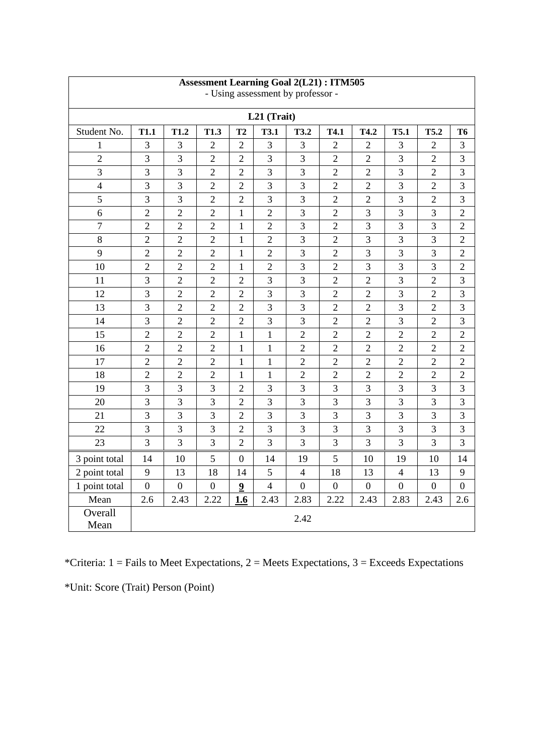| <b>Assessment Learning Goal 2(L21): ITM505</b><br>- Using assessment by professor - |                  |                  |                  |                  |                |                  |                  |                  |                  |                  |                  |
|-------------------------------------------------------------------------------------|------------------|------------------|------------------|------------------|----------------|------------------|------------------|------------------|------------------|------------------|------------------|
| L21 (Trait)                                                                         |                  |                  |                  |                  |                |                  |                  |                  |                  |                  |                  |
| Student No.                                                                         | <b>T1.1</b>      | T1.2             | T1.3             | T2               | <b>T3.1</b>    | <b>T3.2</b>      | T4.1             | T4.2             | <b>T5.1</b>      | <b>T5.2</b>      | <b>T6</b>        |
| $\mathbf{1}$                                                                        | 3                | 3                | $\overline{2}$   | $\overline{2}$   | $\overline{3}$ | 3                | $\overline{2}$   | $\overline{2}$   | 3                | $\overline{2}$   | 3                |
| $\overline{2}$                                                                      | 3                | 3                | $\overline{2}$   | $\overline{2}$   | 3              | 3                | $\overline{2}$   | $\overline{2}$   | 3                | $\overline{2}$   | 3                |
| 3                                                                                   | 3                | 3                | $\overline{2}$   | $\overline{2}$   | $\overline{3}$ | $\overline{3}$   | $\overline{2}$   | $\overline{2}$   | $\overline{3}$   | $\overline{2}$   | 3                |
| $\overline{4}$                                                                      | 3                | 3                | $\overline{2}$   | $\overline{2}$   | 3              | 3                | $\overline{2}$   | $\overline{2}$   | 3                | $\overline{2}$   | $\mathfrak{Z}$   |
| 5                                                                                   | 3                | 3                | $\overline{2}$   | $\overline{2}$   | 3              | 3                | $\overline{2}$   | $\overline{2}$   | 3                | $\overline{2}$   | 3                |
| 6                                                                                   | $\overline{2}$   | $\overline{2}$   | $\overline{2}$   | $\mathbf{1}$     | $\overline{2}$ | $\overline{3}$   | $\overline{2}$   | 3                | $\overline{3}$   | 3                | $\overline{2}$   |
| $\overline{7}$                                                                      | $\overline{2}$   | $\overline{2}$   | $\overline{2}$   | $\mathbf{1}$     | $\overline{2}$ | 3                | $\overline{2}$   | 3                | 3                | 3                | $\overline{2}$   |
| 8                                                                                   | $\sqrt{2}$       | $\overline{2}$   | $\overline{2}$   | $\mathbf{1}$     | $\overline{2}$ | $\overline{3}$   | $\overline{2}$   | $\overline{3}$   | $\overline{3}$   | 3                | $\overline{2}$   |
| 9                                                                                   | $\overline{2}$   | $\overline{2}$   | $\overline{2}$   | $\mathbf{1}$     | $\overline{2}$ | 3                | $\overline{2}$   | 3                | 3                | 3                | $\overline{2}$   |
| 10                                                                                  | $\overline{2}$   | $\overline{2}$   | $\overline{2}$   | $\mathbf{1}$     | $\overline{2}$ | 3                | $\overline{2}$   | 3                | 3                | 3                | $\overline{2}$   |
| 11                                                                                  | 3                | $\overline{2}$   | $\overline{2}$   | $\overline{2}$   | $\overline{3}$ | 3                | $\overline{2}$   | $\overline{2}$   | 3                | $\overline{2}$   | 3                |
| 12                                                                                  | 3                | $\overline{2}$   | $\overline{2}$   | $\overline{2}$   | 3              | $\overline{3}$   | $\overline{2}$   | $\overline{2}$   | 3                | $\overline{2}$   | 3                |
| 13                                                                                  | $\overline{3}$   | $\overline{2}$   | $\overline{2}$   | $\overline{2}$   | $\overline{3}$ | $\overline{3}$   | $\overline{2}$   | $\overline{2}$   | $\overline{3}$   | $\overline{2}$   | $\overline{3}$   |
| 14                                                                                  | 3                | $\overline{2}$   | $\overline{2}$   | $\overline{2}$   | 3              | 3                | $\overline{2}$   | $\overline{2}$   | $\overline{3}$   | $\overline{2}$   | 3                |
| 15                                                                                  | $\overline{2}$   | $\overline{2}$   | $\overline{2}$   | $\mathbf{1}$     | $\mathbf{1}$   | $\overline{2}$   | $\overline{2}$   | $\overline{2}$   | $\overline{2}$   | $\overline{2}$   | $\overline{2}$   |
| 16                                                                                  | $\overline{2}$   | $\overline{2}$   | $\overline{2}$   | $\mathbf{1}$     | $\mathbf{1}$   | $\overline{2}$   | $\overline{2}$   | $\overline{2}$   | $\overline{2}$   | $\overline{2}$   | $\overline{2}$   |
| 17                                                                                  | $\overline{2}$   | $\overline{2}$   | $\overline{2}$   | $\mathbf{1}$     | $\mathbf{1}$   | $\overline{2}$   | $\overline{2}$   | $\overline{2}$   | $\overline{2}$   | $\overline{2}$   | $\overline{2}$   |
| 18                                                                                  | $\sqrt{2}$       | $\overline{2}$   | $\overline{2}$   | $\mathbf{1}$     | $\mathbf{1}$   | $\overline{2}$   | $\overline{2}$   | $\overline{2}$   | $\overline{2}$   | $\overline{2}$   | $\overline{2}$   |
| 19                                                                                  | 3                | 3                | 3                | $\overline{2}$   | 3              | 3                | 3                | 3                | 3                | 3                | 3                |
| 20                                                                                  | 3                | 3                | 3                | $\overline{2}$   | $\overline{3}$ | 3                | $\overline{3}$   | 3                | $\overline{3}$   | 3                | 3                |
| 21                                                                                  | 3                | 3                | 3                | $\overline{2}$   | $\overline{3}$ | 3                | $\overline{3}$   | 3                | 3                | 3                | 3                |
| 22                                                                                  | 3                | 3                | 3                | $\overline{2}$   | $\overline{3}$ | $\overline{3}$   | $\overline{3}$   | $\overline{3}$   | $\overline{3}$   | 3                | 3                |
| 23                                                                                  | 3                | 3                | 3                | $\overline{2}$   | $\overline{3}$ | 3                | $\overline{3}$   | 3                | 3                | 3                | 3                |
| 3 point total                                                                       | 14               | 10               | 5                | $\overline{0}$   | 14             | 19               | 5                | 10               | 19               | 10               | 14               |
| 2 point total                                                                       | 9                | 13               | 18               | 14               | 5              | $\overline{4}$   | 18               | 13               | $\overline{4}$   | 13               | 9                |
| 1 point total                                                                       | $\boldsymbol{0}$ | $\boldsymbol{0}$ | $\boldsymbol{0}$ | $\boldsymbol{9}$ | $\overline{4}$ | $\boldsymbol{0}$ | $\boldsymbol{0}$ | $\boldsymbol{0}$ | $\boldsymbol{0}$ | $\boldsymbol{0}$ | $\boldsymbol{0}$ |
| Mean                                                                                | 2.6              | 2.43             | 2.22             | 1.6              | 2.43           | 2.83             | 2.22             | 2.43             | 2.83             | 2.43             | 2.6              |
| Overall<br>Mean                                                                     |                  |                  |                  |                  |                | 2.42             |                  |                  |                  |                  |                  |

\*Criteria:  $1 =$  Fails to Meet Expectations,  $2 =$  Meets Expectations,  $3 =$  Exceeds Expectations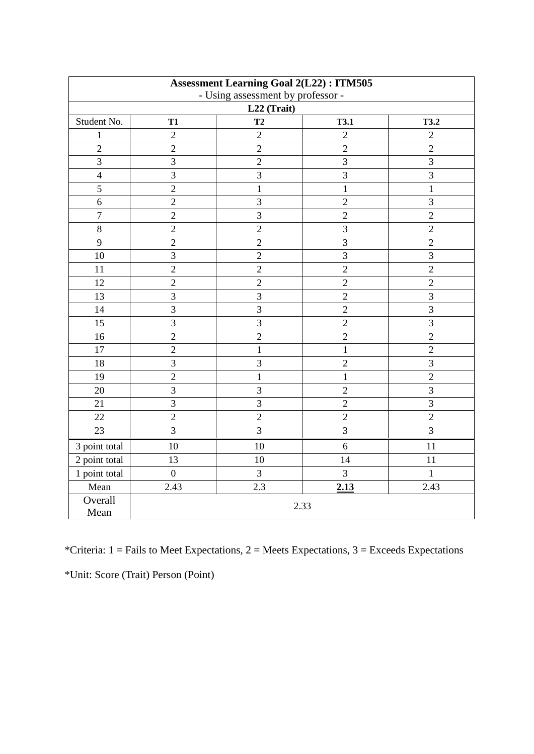| <b>Assessment Learning Goal 2(L22): ITM505</b>   |                |                |                |                |  |  |  |
|--------------------------------------------------|----------------|----------------|----------------|----------------|--|--|--|
| - Using assessment by professor -<br>L22 (Trait) |                |                |                |                |  |  |  |
| Student No.                                      | <b>T1</b>      | T2             | <b>T3.1</b>    | <b>T3.2</b>    |  |  |  |
| $\mathbf{1}$                                     | $\overline{2}$ | $\overline{2}$ | $\sqrt{2}$     | $\sqrt{2}$     |  |  |  |
| $\overline{2}$                                   | $\overline{2}$ | $\overline{2}$ | $\overline{2}$ | $\overline{2}$ |  |  |  |
| $\overline{3}$                                   | $\overline{3}$ | $\overline{2}$ | $\overline{3}$ | $\overline{3}$ |  |  |  |
| $\overline{4}$                                   | 3              | $\overline{3}$ | 3              | 3              |  |  |  |
| 5                                                | $\overline{2}$ | $\mathbf{1}$   | $\mathbf{1}$   | $\mathbf{1}$   |  |  |  |
| $6\,$                                            | $\overline{2}$ | $\mathfrak{Z}$ | $\overline{2}$ | 3              |  |  |  |
| $\boldsymbol{7}$                                 | $\overline{2}$ | 3              | $\sqrt{2}$     | $\overline{2}$ |  |  |  |
| $8\,$                                            | $\sqrt{2}$     | $\overline{2}$ | $\mathfrak{Z}$ | $\sqrt{2}$     |  |  |  |
| 9                                                | $\overline{2}$ | $\overline{2}$ | 3              | $\overline{2}$ |  |  |  |
| 10                                               | 3              | $\overline{2}$ | 3              | $\mathfrak{Z}$ |  |  |  |
| 11                                               | $\overline{2}$ | $\overline{2}$ | $\overline{2}$ | $\overline{2}$ |  |  |  |
| 12                                               | $\overline{2}$ | $\overline{2}$ | $\overline{2}$ | $\overline{2}$ |  |  |  |
| 13                                               | $\overline{3}$ | 3              | $\sqrt{2}$     | 3              |  |  |  |
| 14                                               | $\overline{3}$ | 3              | $\overline{2}$ | 3              |  |  |  |
| 15                                               | $\overline{3}$ | 3              | $\overline{2}$ | 3              |  |  |  |
| 16                                               | $\overline{2}$ | $\overline{2}$ | $\overline{2}$ | $\overline{2}$ |  |  |  |
| 17                                               | $\overline{c}$ | $\mathbf{1}$   | $\,1$          | $\overline{2}$ |  |  |  |
| 18                                               | $\overline{3}$ | 3              | $\overline{2}$ | 3              |  |  |  |
| 19                                               | $\overline{2}$ | $\mathbf{1}$   | $\mathbf{1}$   | $\overline{2}$ |  |  |  |
| 20                                               | $\overline{3}$ | $\overline{3}$ | $\overline{2}$ | $\overline{3}$ |  |  |  |
| 21                                               | $\overline{3}$ | 3              | $\sqrt{2}$     | 3              |  |  |  |
| 22                                               | $\overline{2}$ | $\overline{2}$ | $\overline{2}$ | $\overline{2}$ |  |  |  |
| 23                                               | 3              | $\overline{3}$ | 3              | 3              |  |  |  |
| 3 point total                                    | 10             | 10             | 6              | 11             |  |  |  |
| 2 point total                                    | 13             | 10             | 14             | 11             |  |  |  |
| 1 point total                                    | $\overline{0}$ | $\overline{3}$ | $\overline{3}$ | $\mathbf{1}$   |  |  |  |
| Mean                                             | 2.43           | 2.3            | 2.13           | 2.43           |  |  |  |
| Overall<br>2.33<br>Mean                          |                |                |                |                |  |  |  |

\*Criteria:  $1 =$  Fails to Meet Expectations,  $2 =$  Meets Expectations,  $3 =$  Exceeds Expectations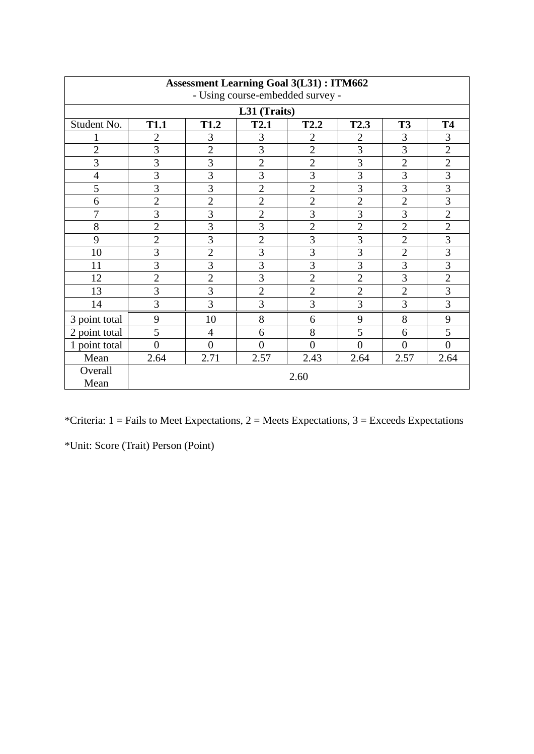| <b>Assessment Learning Goal 3(L31): ITM662</b> |                |                |                |                |                  |                |                |  |  |  |
|------------------------------------------------|----------------|----------------|----------------|----------------|------------------|----------------|----------------|--|--|--|
| - Using course-embedded survey -               |                |                |                |                |                  |                |                |  |  |  |
|                                                | L31 (Traits)   |                |                |                |                  |                |                |  |  |  |
| Student No.                                    | <b>T1.1</b>    | <b>T1.2</b>    | <b>T2.1</b>    | <b>T2.2</b>    | T <sub>2.3</sub> | <b>T3</b>      | <b>T4</b>      |  |  |  |
|                                                | $\overline{2}$ | 3              | 3              | $\overline{2}$ | $\mathfrak{2}$   | 3              | 3              |  |  |  |
| $\overline{2}$                                 | 3              | $\overline{2}$ | 3              | $\overline{2}$ | $\overline{3}$   | 3              | $\mathbf{2}$   |  |  |  |
| 3                                              | 3              | 3              | $\overline{2}$ | $\overline{2}$ | 3                | $\overline{2}$ | $\overline{2}$ |  |  |  |
| $\overline{4}$                                 | 3              | 3              | $\overline{3}$ | 3              | 3                | 3              | 3              |  |  |  |
| 5                                              | 3              | 3              | $\overline{2}$ | $\overline{2}$ | 3                | 3              | 3              |  |  |  |
| 6                                              | $\overline{2}$ | $\overline{2}$ | $\overline{c}$ | $\overline{2}$ | $\overline{2}$   | $\overline{2}$ | 3              |  |  |  |
| $\overline{7}$                                 | 3              | 3              | $\overline{2}$ | 3              | 3                | 3              | $\overline{2}$ |  |  |  |
| 8                                              | $\overline{2}$ | $\overline{3}$ | $\overline{3}$ | $\overline{2}$ | $\overline{2}$   | $\overline{2}$ | $\overline{2}$ |  |  |  |
| 9                                              | $\overline{2}$ | $\overline{3}$ | $\overline{2}$ | 3              | $\overline{3}$   | $\overline{2}$ | $\overline{3}$ |  |  |  |
| 10                                             | $\overline{3}$ | $\overline{2}$ | $\overline{3}$ | 3              | $\overline{3}$   | $\overline{2}$ | $\overline{3}$ |  |  |  |
| 11                                             | $\overline{3}$ | $\overline{3}$ | $\overline{3}$ | 3              | $\overline{3}$   | $\overline{3}$ | $\overline{3}$ |  |  |  |
| 12                                             | $\overline{2}$ | $\overline{2}$ | $\overline{3}$ | $\overline{2}$ | $\overline{2}$   | 3              | $\overline{2}$ |  |  |  |
| 13                                             | 3              | $\overline{3}$ | $\overline{2}$ | $\overline{2}$ | $\overline{2}$   | $\overline{2}$ | $\overline{3}$ |  |  |  |
| 14                                             | 3              | 3              | $\overline{3}$ | 3              | 3                | 3              | 3              |  |  |  |
| 3 point total                                  | 9              | 10             | 8              | 6              | 9                | 8              | 9              |  |  |  |
| point total<br>2                               | 5              | $\overline{4}$ | 6              | 8              | 5                | 6              | 5              |  |  |  |
| point total                                    | $\overline{0}$ | $\overline{0}$ | $\overline{0}$ | $\overline{0}$ | $\overline{0}$   | $\overline{0}$ | $\overline{0}$ |  |  |  |
| Mean                                           | 2.64           | 2.71           | 2.57           | 2.43           | 2.64             | 2.57           | 2.64           |  |  |  |
| Overall<br>Mean                                |                |                |                | 2.60           |                  |                |                |  |  |  |

\*Criteria:  $1 =$  Fails to Meet Expectations,  $2 =$  Meets Expectations,  $3 =$  Exceeds Expectations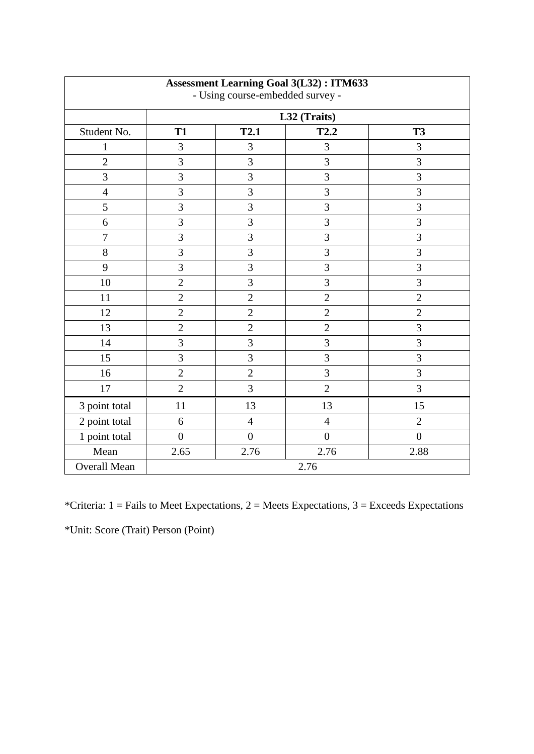| <b>Assessment Learning Goal 3(L32): ITM633</b><br>- Using course-embedded survey - |                |                  |                |                |  |  |  |  |
|------------------------------------------------------------------------------------|----------------|------------------|----------------|----------------|--|--|--|--|
|                                                                                    | L32 (Traits)   |                  |                |                |  |  |  |  |
| Student No.                                                                        | <b>T1</b>      | T2.1             | T2.2           | <b>T3</b>      |  |  |  |  |
| $\mathbf{1}$                                                                       | 3              | 3                | 3              | 3              |  |  |  |  |
| $\overline{2}$                                                                     | $\overline{3}$ | $\overline{3}$   | $\overline{3}$ | 3              |  |  |  |  |
| 3                                                                                  | 3              | $\overline{3}$   | 3              | 3              |  |  |  |  |
| $\overline{4}$                                                                     | 3              | $\overline{3}$   | $\overline{3}$ | 3              |  |  |  |  |
| 5                                                                                  | 3              | $\overline{3}$   | 3              | 3              |  |  |  |  |
| 6                                                                                  | 3              | $\overline{3}$   | 3              | 3              |  |  |  |  |
| $\boldsymbol{7}$                                                                   | 3              | 3                | $\overline{3}$ | $\overline{3}$ |  |  |  |  |
| 8                                                                                  | 3              | $\overline{3}$   | 3              | 3              |  |  |  |  |
| 9                                                                                  | 3              | $\overline{3}$   | 3              | 3              |  |  |  |  |
| 10                                                                                 | $\overline{2}$ | $\overline{3}$   | 3              | 3              |  |  |  |  |
| 11                                                                                 | $\overline{2}$ | $\overline{2}$   | $\overline{2}$ | $\overline{2}$ |  |  |  |  |
| 12                                                                                 | $\overline{2}$ | $\overline{2}$   | $\overline{2}$ | $\overline{2}$ |  |  |  |  |
| 13                                                                                 | $\overline{2}$ | $\overline{2}$   | $\overline{2}$ | 3              |  |  |  |  |
| 14                                                                                 | 3              | 3                | 3              | 3              |  |  |  |  |
| 15                                                                                 | 3              | $\overline{3}$   | 3              | 3              |  |  |  |  |
| 16                                                                                 | $\overline{2}$ | $\overline{2}$   | 3              | 3              |  |  |  |  |
| 17                                                                                 | $\overline{2}$ | $\overline{3}$   | $\overline{2}$ | 3              |  |  |  |  |
| 3 point total                                                                      | 11             | 13               | 13             | 15             |  |  |  |  |
| 2 point total                                                                      | 6              | $\overline{4}$   | $\overline{4}$ | $\overline{2}$ |  |  |  |  |
| 1 point total                                                                      | $\overline{0}$ | $\boldsymbol{0}$ | $\overline{0}$ | $\overline{0}$ |  |  |  |  |
| Mean                                                                               | 2.65           | 2.76             | 2.76           | 2.88           |  |  |  |  |
| Overall Mean                                                                       | 2.76           |                  |                |                |  |  |  |  |

j.

\*Criteria:  $1 =$  Fails to Meet Expectations,  $2 =$  Meets Expectations,  $3 =$  Exceeds Expectations \*Unit: Score (Trait) Person (Point)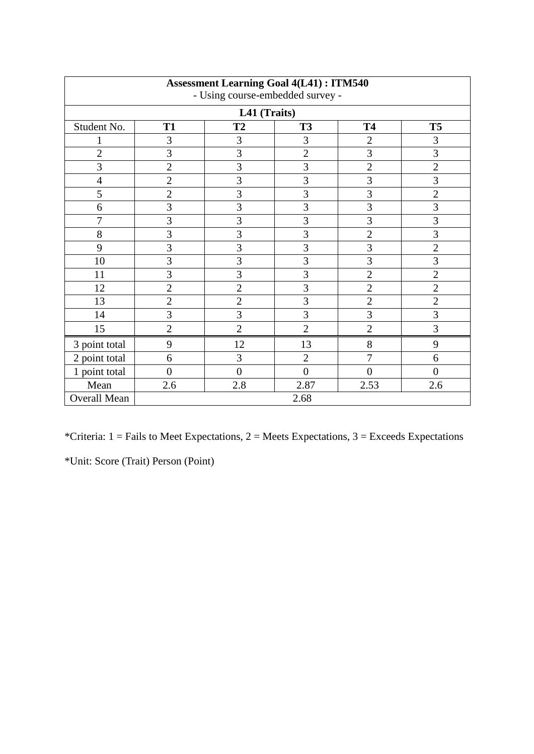| <b>Assessment Learning Goal 4(L41): ITM540</b><br>- Using course-embedded survey - |                |                         |                |                |                |  |  |  |
|------------------------------------------------------------------------------------|----------------|-------------------------|----------------|----------------|----------------|--|--|--|
| L41 (Traits)                                                                       |                |                         |                |                |                |  |  |  |
| Student No.                                                                        | <b>T1</b>      | T2                      | <b>T3</b>      | <b>T4</b>      | <b>T5</b>      |  |  |  |
| $\mathbf 1$                                                                        | 3              | 3                       | 3              | $\overline{2}$ | 3              |  |  |  |
| $\overline{2}$                                                                     | $\overline{3}$ | $\overline{\mathbf{3}}$ | $\overline{c}$ | $\overline{3}$ | $\overline{3}$ |  |  |  |
| $\overline{3}$                                                                     | $\overline{2}$ | $\overline{3}$          | $\overline{3}$ | $\overline{2}$ | $\overline{2}$ |  |  |  |
| $\overline{4}$                                                                     | $\overline{2}$ | $\overline{3}$          | $\overline{3}$ | $\overline{3}$ | 3              |  |  |  |
| 5                                                                                  | $\overline{2}$ | $\overline{3}$          | $\overline{3}$ | $\overline{3}$ | $\overline{2}$ |  |  |  |
| $\boldsymbol{6}$                                                                   | 3              | $\overline{3}$          | $\overline{3}$ | $\overline{3}$ | $\overline{3}$ |  |  |  |
| 7                                                                                  | 3              | $\overline{3}$          | $\overline{3}$ | $\overline{3}$ | $\overline{3}$ |  |  |  |
| 8                                                                                  | 3              | 3                       | 3              | $\overline{c}$ | $\overline{3}$ |  |  |  |
| 9                                                                                  | $\overline{3}$ | 3                       | 3              | 3              | $\overline{2}$ |  |  |  |
| 10                                                                                 | 3              | 3                       | 3              | 3              | 3              |  |  |  |
| 11                                                                                 | $\overline{3}$ | $\overline{3}$          | $\overline{3}$ | $\overline{c}$ | $\overline{c}$ |  |  |  |
| 12                                                                                 | $\overline{2}$ | $\overline{2}$          | $\overline{3}$ | $\overline{2}$ | $\overline{2}$ |  |  |  |
| 13                                                                                 | $\overline{2}$ | $\overline{2}$          | $\overline{3}$ | $\overline{2}$ | $\overline{c}$ |  |  |  |
| 14                                                                                 | $\overline{3}$ | $\overline{3}$          | $\overline{3}$ | $\overline{3}$ | $\overline{3}$ |  |  |  |
| 15                                                                                 | $\overline{2}$ | $\overline{2}$          | $\overline{2}$ | $\overline{2}$ | 3              |  |  |  |
| 3 point total                                                                      | 9              | 12                      | 13             | 8              | 9              |  |  |  |
| 2 point total                                                                      | 6              | 3                       | $\mathbf{2}$   | $\overline{7}$ | 6              |  |  |  |
| 1 point total                                                                      | $\overline{0}$ | $\overline{0}$          | $\overline{0}$ | $\overline{0}$ | $\overline{0}$ |  |  |  |
| Mean                                                                               | 2.6            | 2.8                     | 2.87           | 2.53           | 2.6            |  |  |  |
| <b>Overall Mean</b>                                                                |                |                         | 2.68           |                |                |  |  |  |

\*Criteria:  $1 =$  Fails to Meet Expectations,  $2 =$  Meets Expectations,  $3 =$  Exceeds Expectations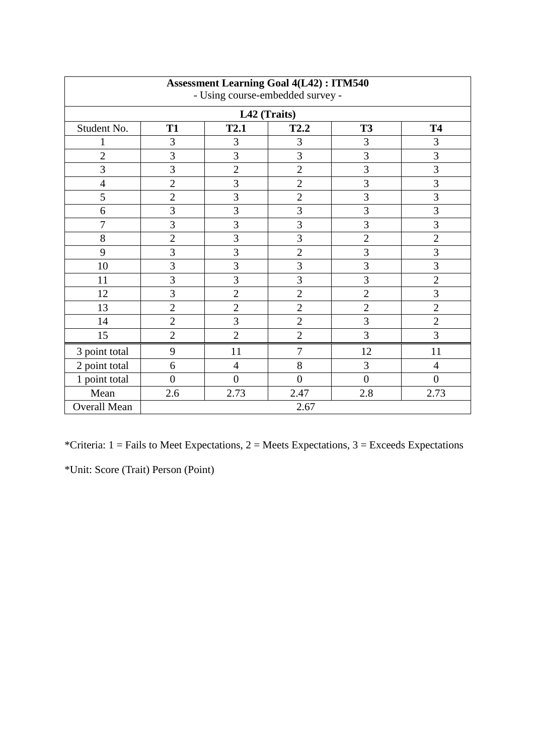| <b>Assessment Learning Goal 4(L42): ITM540</b><br>- Using course-embedded survey -<br>L42 (Traits) |                |                |                |                |                |
|----------------------------------------------------------------------------------------------------|----------------|----------------|----------------|----------------|----------------|
|                                                                                                    |                |                |                |                |                |
|                                                                                                    | 3              | 3              | 3              | 3              | 3              |
| $\overline{2}$                                                                                     | 3              | 3              | 3              | $\overline{3}$ | 3              |
| $\overline{3}$                                                                                     | 3              | $\overline{2}$ | $\overline{2}$ | 3              | 3              |
| $\overline{4}$                                                                                     | $\overline{2}$ | 3              | $\overline{2}$ | 3              | 3              |
| 5                                                                                                  | $\overline{2}$ | 3              | $\overline{2}$ | $\overline{3}$ | 3              |
| 6                                                                                                  | 3              | 3              | $\overline{3}$ | 3              | 3              |
| 7                                                                                                  | 3              | 3              | $\overline{3}$ | 3              | 3              |
| 8                                                                                                  | $\overline{2}$ | 3              | 3              | $\overline{2}$ | $\overline{2}$ |
| 9                                                                                                  | 3              | 3              | $\overline{2}$ | 3              | 3              |
| 10                                                                                                 | 3              | 3              | 3              | 3              | 3              |
| 11                                                                                                 | 3              | 3              | $\overline{3}$ | 3              | $\overline{c}$ |
| 12                                                                                                 | 3              | $\overline{2}$ | $\overline{2}$ | $\overline{2}$ | $\overline{3}$ |
| 13                                                                                                 | $\overline{2}$ | $\overline{2}$ | $\overline{2}$ | $\overline{2}$ | $\overline{c}$ |
| 14                                                                                                 | $\overline{2}$ | 3              | $\overline{2}$ | $\overline{3}$ | $\overline{2}$ |
| 15                                                                                                 | $\overline{2}$ | $\overline{2}$ | $\overline{2}$ | 3              | $\overline{3}$ |
| 3 point total                                                                                      | 9              | 11             | 7              | 12             | 11             |
| 2 point total                                                                                      | 6              | $\overline{4}$ | 8              | 3              | $\overline{4}$ |
| 1 point total                                                                                      | $\theta$       | $\overline{0}$ | $\overline{0}$ | $\overline{0}$ | $\theta$       |
| Mean                                                                                               | 2.6            | 2.73           | 2.47           | 2.8            | 2.73           |
| Overall Mean                                                                                       | 2.67           |                |                |                |                |

\*Criteria:  $1 =$  Fails to Meet Expectations,  $2 =$  Meets Expectations,  $3 =$  Exceeds Expectations